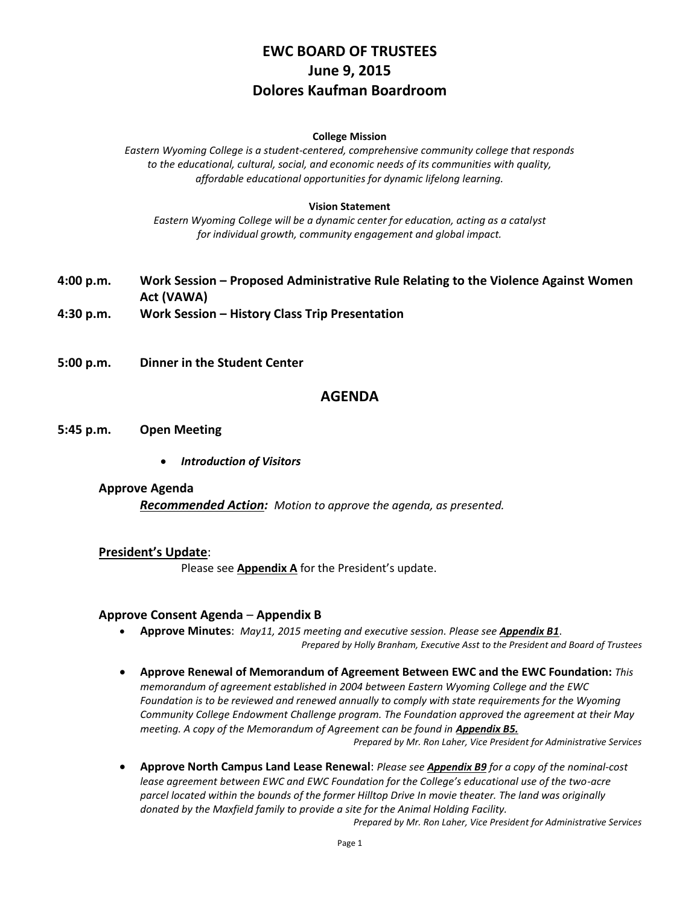# **EWC BOARD OF TRUSTEES June 9, 2015 Dolores Kaufman Boardroom**

#### **College Mission**

*Eastern Wyoming College is a student-centered, comprehensive community college that responds to the educational, cultural, social, and economic needs of its communities with quality, affordable educational opportunities for dynamic lifelong learning.*

#### **Vision Statement**

*Eastern Wyoming College will be a dynamic center for education, acting as a catalyst for individual growth, community engagement and global impact.*

- **4:00 p.m. Work Session – Proposed Administrative Rule Relating to the Violence Against Women Act (VAWA) 4:30 p.m. Work Session – History Class Trip Presentation**
- **5:00 p.m. Dinner in the Student Center**

#### **AGENDA**

#### **5:45 p.m. Open Meeting**

*Introduction of Visitors*

#### **Approve Agenda**

*Recommended Action: Motion to approve the agenda, as presented.*

#### **President's Update**:

Please see **Appendix A** for the President's update.

#### **Approve Consent Agenda** – **Appendix B**

- **Approve Minutes**: *May11, 2015 meeting and executive session. Please see Appendix B1*. *Prepared by Holly Branham, Executive Asst to the President and Board of Trustees*
- **Approve Renewal of Memorandum of Agreement Between EWC and the EWC Foundation:** *This memorandum of agreement established in 2004 between Eastern Wyoming College and the EWC Foundation is to be reviewed and renewed annually to comply with state requirements for the Wyoming Community College Endowment Challenge program. The Foundation approved the agreement at their May meeting. A copy of the Memorandum of Agreement can be found in Appendix B5. Prepared by Mr. Ron Laher, Vice President for Administrative Services*
- **Approve North Campus Land Lease Renewal**: *Please see Appendix B9 for a copy of the nominal-cost lease agreement between EWC and EWC Foundation for the College's educational use of the two-acre parcel located within the bounds of the former Hilltop Drive In movie theater. The land was originally donated by the Maxfield family to provide a site for the Animal Holding Facility.*

*Prepared by Mr. Ron Laher, Vice President for Administrative Services*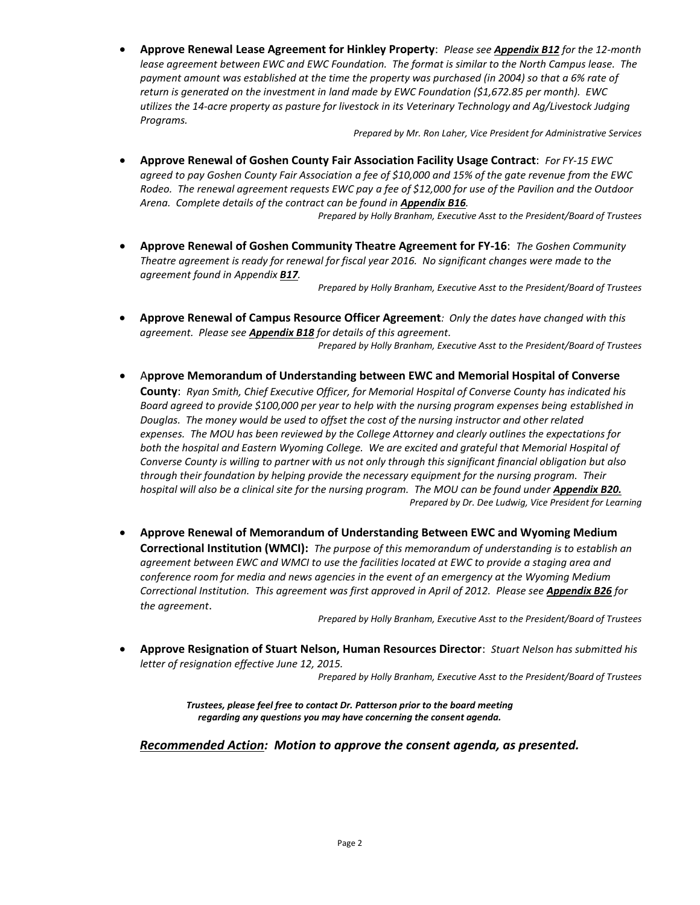**Approve Renewal Lease Agreement for Hinkley Property**: *Please see Appendix B12 for the 12-month lease agreement between EWC and EWC Foundation. The format is similar to the North Campus lease. The payment amount was established at the time the property was purchased (in 2004) so that a 6% rate of return is generated on the investment in land made by EWC Foundation (\$1,672.85 per month). EWC utilizes the 14-acre property as pasture for livestock in its Veterinary Technology and Ag/Livestock Judging Programs.*

*Prepared by Mr. Ron Laher, Vice President for Administrative Services*

 **Approve Renewal of Goshen County Fair Association Facility Usage Contract**: *For FY-15 EWC agreed to pay Goshen County Fair Association a fee of \$10,000 and 15% of the gate revenue from the EWC Rodeo. The renewal agreement requests EWC pay a fee of \$12,000 for use of the Pavilion and the Outdoor Arena. Complete details of the contract can be found in Appendix B16.*

*Prepared by Holly Branham, Executive Asst to the President/Board of Trustees*

 **Approve Renewal of Goshen Community Theatre Agreement for FY-16**: *The Goshen Community Theatre agreement is ready for renewal for fiscal year 2016. No significant changes were made to the agreement found in Appendix B17.*

*Prepared by Holly Branham, Executive Asst to the President/Board of Trustees*

 **Approve Renewal of Campus Resource Officer Agreement***: Only the dates have changed with this agreement. Please see Appendix B18 for details of this agreement. Prepared by Holly Branham, Executive Asst to the President/Board of Trustees*

 A**pprove Memorandum of Understanding between EWC and Memorial Hospital of Converse County**: *Ryan Smith, Chief Executive Officer, for Memorial Hospital of Converse County has indicated his Board agreed to provide \$100,000 per year to help with the nursing program expenses being established in Douglas. The money would be used to offset the cost of the nursing instructor and other related expenses. The MOU has been reviewed by the College Attorney and clearly outlines the expectations for both the hospital and Eastern Wyoming College. We are excited and grateful that Memorial Hospital of Converse County is willing to partner with us not only through this significant financial obligation but also through their foundation by helping provide the necessary equipment for the nursing program. Their*  hospital will also be a clinical site for the nursing program. The MOU can be found under **Appendix B20.** *Prepared by Dr. Dee Ludwig, Vice President for Learning*

 **Approve Renewal of Memorandum of Understanding Between EWC and Wyoming Medium Correctional Institution (WMCI):** *The purpose of this memorandum of understanding is to establish an agreement between EWC and WMCI to use the facilities located at EWC to provide a staging area and conference room for media and news agencies in the event of an emergency at the Wyoming Medium Correctional Institution. This agreement was first approved in April of 2012. Please see Appendix B26 for the agreement*.

*Prepared by Holly Branham, Executive Asst to the President/Board of Trustees*

 **Approve Resignation of Stuart Nelson, Human Resources Director**: *Stuart Nelson has submitted his letter of resignation effective June 12, 2015.*

*Prepared by Holly Branham, Executive Asst to the President/Board of Trustees*

*Trustees, please feel free to contact Dr. Patterson prior to the board meeting regarding any questions you may have concerning the consent agenda.*

*Recommended Action: Motion to approve the consent agenda, as presented.*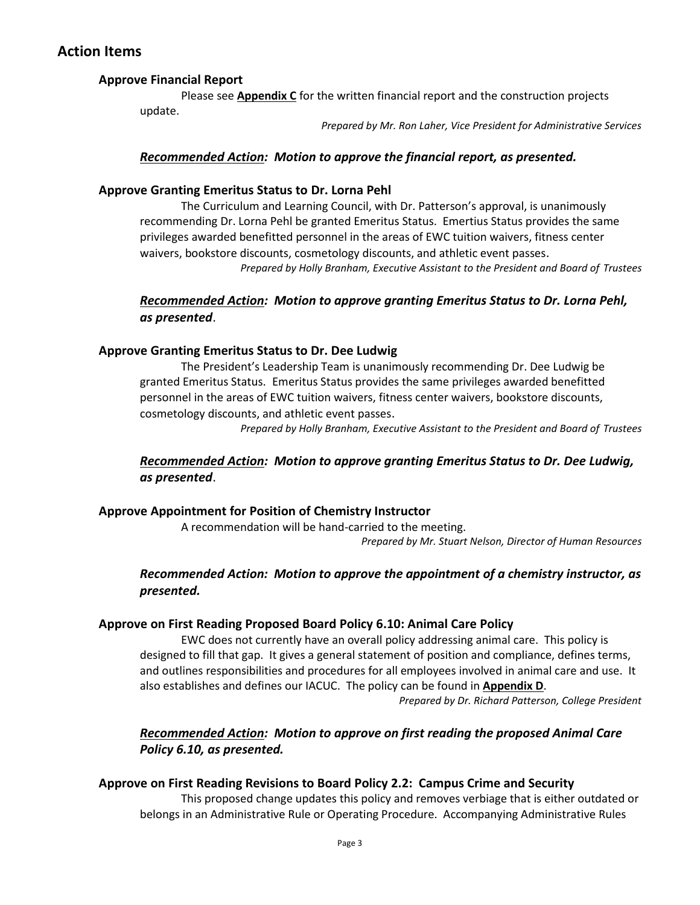# **Action Items**

### **Approve Financial Report**

Please see **Appendix C** for the written financial report and the construction projects update.

*Prepared by Mr. Ron Laher, Vice President for Administrative Services*

#### *Recommended Action: Motion to approve the financial report, as presented.*

#### **Approve Granting Emeritus Status to Dr. Lorna Pehl**

The Curriculum and Learning Council, with Dr. Patterson's approval, is unanimously recommending Dr. Lorna Pehl be granted Emeritus Status. Emertius Status provides the same privileges awarded benefitted personnel in the areas of EWC tuition waivers, fitness center waivers, bookstore discounts, cosmetology discounts, and athletic event passes. *Prepared by Holly Branham, Executive Assistant to the President and Board of Trustees*

### *Recommended Action: Motion to approve granting Emeritus Status to Dr. Lorna Pehl, as presented*.

#### **Approve Granting Emeritus Status to Dr. Dee Ludwig**

The President's Leadership Team is unanimously recommending Dr. Dee Ludwig be granted Emeritus Status. Emeritus Status provides the same privileges awarded benefitted personnel in the areas of EWC tuition waivers, fitness center waivers, bookstore discounts, cosmetology discounts, and athletic event passes.

*Prepared by Holly Branham, Executive Assistant to the President and Board of Trustees*

### *Recommended Action: Motion to approve granting Emeritus Status to Dr. Dee Ludwig, as presented*.

### **Approve Appointment for Position of Chemistry Instructor**

A recommendation will be hand-carried to the meeting. *Prepared by Mr. Stuart Nelson, Director of Human Resources*

# *Recommended Action: Motion to approve the appointment of a chemistry instructor, as presented.*

#### **Approve on First Reading Proposed Board Policy 6.10: Animal Care Policy**

EWC does not currently have an overall policy addressing animal care. This policy is designed to fill that gap. It gives a general statement of position and compliance, defines terms, and outlines responsibilities and procedures for all employees involved in animal care and use. It also establishes and defines our IACUC. The policy can be found in **Appendix D**. *Prepared by Dr. Richard Patterson, College President*

# *Recommended Action: Motion to approve on first reading the proposed Animal Care Policy 6.10, as presented.*

### **Approve on First Reading Revisions to Board Policy 2.2: Campus Crime and Security**

This proposed change updates this policy and removes verbiage that is either outdated or belongs in an Administrative Rule or Operating Procedure. Accompanying Administrative Rules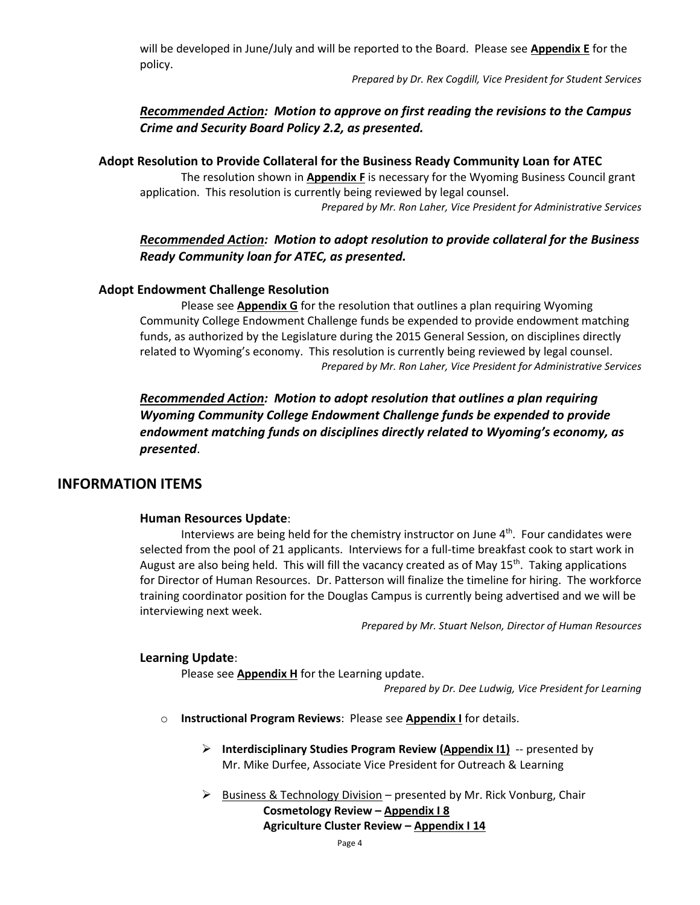will be developed in June/July and will be reported to the Board. Please see **Appendix E** for the policy.

*Prepared by Dr. Rex Cogdill, Vice President for Student Services*

# *Recommended Action: Motion to approve on first reading the revisions to the Campus Crime and Security Board Policy 2.2, as presented.*

# **Adopt Resolution to Provide Collateral for the Business Ready Community Loan for ATEC**

The resolution shown in **Appendix F** is necessary for the Wyoming Business Council grant application. This resolution is currently being reviewed by legal counsel.

*Prepared by Mr. Ron Laher, Vice President for Administrative Services*

# *Recommended Action: Motion to adopt resolution to provide collateral for the Business Ready Community loan for ATEC, as presented.*

# **Adopt Endowment Challenge Resolution**

Please see **Appendix G** for the resolution that outlines a plan requiring Wyoming Community College Endowment Challenge funds be expended to provide endowment matching funds, as authorized by the Legislature during the 2015 General Session, on disciplines directly related to Wyoming's economy. This resolution is currently being reviewed by legal counsel. *Prepared by Mr. Ron Laher, Vice President for Administrative Services*

*Recommended Action: Motion to adopt resolution that outlines a plan requiring Wyoming Community College Endowment Challenge funds be expended to provide endowment matching funds on disciplines directly related to Wyoming's economy, as presented*.

# **INFORMATION ITEMS**

### **Human Resources Update**:

Interviews are being held for the chemistry instructor on June  $4<sup>th</sup>$ . Four candidates were selected from the pool of 21 applicants. Interviews for a full-time breakfast cook to start work in August are also being held. This will fill the vacancy created as of May 15<sup>th</sup>. Taking applications for Director of Human Resources. Dr. Patterson will finalize the timeline for hiring. The workforce training coordinator position for the Douglas Campus is currently being advertised and we will be interviewing next week.

*Prepared by Mr. Stuart Nelson, Director of Human Resources*

### **Learning Update**:

Please see **Appendix H** for the Learning update.

*Prepared by Dr. Dee Ludwig, Vice President for Learning*

- o **Instructional Program Reviews**: Please see **Appendix I** for details.
	- **Interdisciplinary Studies Program Review (Appendix I1)** -- presented by Mr. Mike Durfee, Associate Vice President for Outreach & Learning
	- $\triangleright$  Business & Technology Division presented by Mr. Rick Vonburg, Chair

**Cosmetology Review – Appendix I 8 Agriculture Cluster Review – Appendix I 14**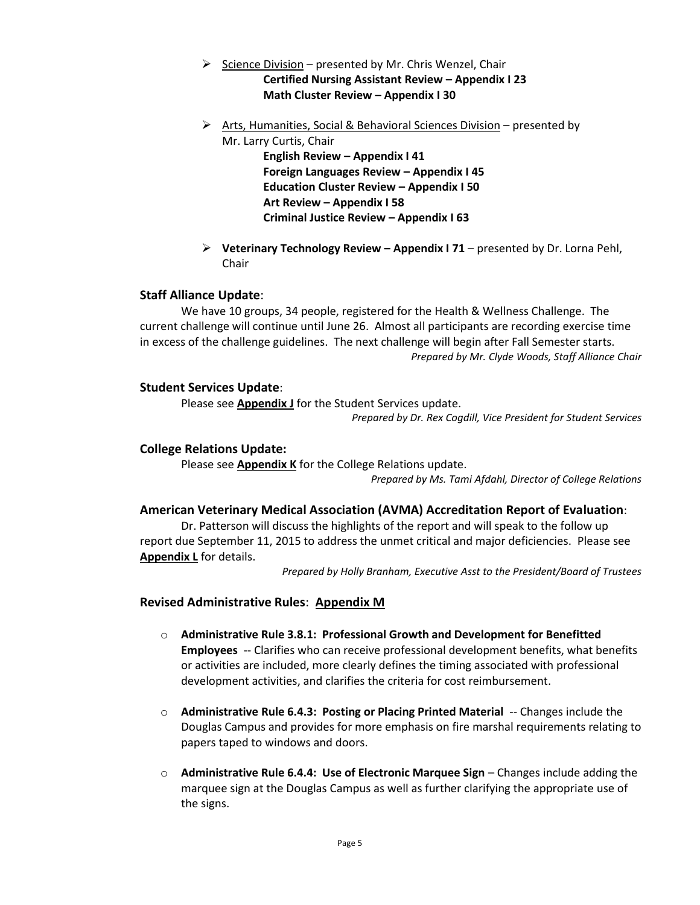- $\triangleright$  Science Division presented by Mr. Chris Wenzel, Chair **Certified Nursing Assistant Review – Appendix I 23 Math Cluster Review – Appendix I 30**
- $\triangleright$  Arts, Humanities, Social & Behavioral Sciences Division presented by Mr. Larry Curtis, Chair

**English Review – Appendix I 41 Foreign Languages Review – Appendix I 45 Education Cluster Review – Appendix I 50 Art Review – Appendix I 58 Criminal Justice Review – Appendix I 63**

 **Veterinary Technology Review – Appendix I 71** – presented by Dr. Lorna Pehl, Chair

### **Staff Alliance Update**:

We have 10 groups, 34 people, registered for the Health & Wellness Challenge. The current challenge will continue until June 26. Almost all participants are recording exercise time in excess of the challenge guidelines. The next challenge will begin after Fall Semester starts. *Prepared by Mr. Clyde Woods, Staff Alliance Chair*

#### **Student Services Update**:

Please see **Appendix J** for the Student Services update.

*Prepared by Dr. Rex Cogdill, Vice President for Student Services*

#### **College Relations Update:**

Please see **Appendix K** for the College Relations update.

*Prepared by Ms. Tami Afdahl, Director of College Relations*

#### **American Veterinary Medical Association (AVMA) Accreditation Report of Evaluation**:

Dr. Patterson will discuss the highlights of the report and will speak to the follow up report due September 11, 2015 to address the unmet critical and major deficiencies. Please see **Appendix L** for details.

*Prepared by Holly Branham, Executive Asst to the President/Board of Trustees*

#### **Revised Administrative Rules**: **Appendix M**

- o **Administrative Rule 3.8.1: Professional Growth and Development for Benefitted Employees** -- Clarifies who can receive professional development benefits, what benefits or activities are included, more clearly defines the timing associated with professional development activities, and clarifies the criteria for cost reimbursement.
- o **Administrative Rule 6.4.3: Posting or Placing Printed Material** -- Changes include the Douglas Campus and provides for more emphasis on fire marshal requirements relating to papers taped to windows and doors.
- o **Administrative Rule 6.4.4: Use of Electronic Marquee Sign** Changes include adding the marquee sign at the Douglas Campus as well as further clarifying the appropriate use of the signs.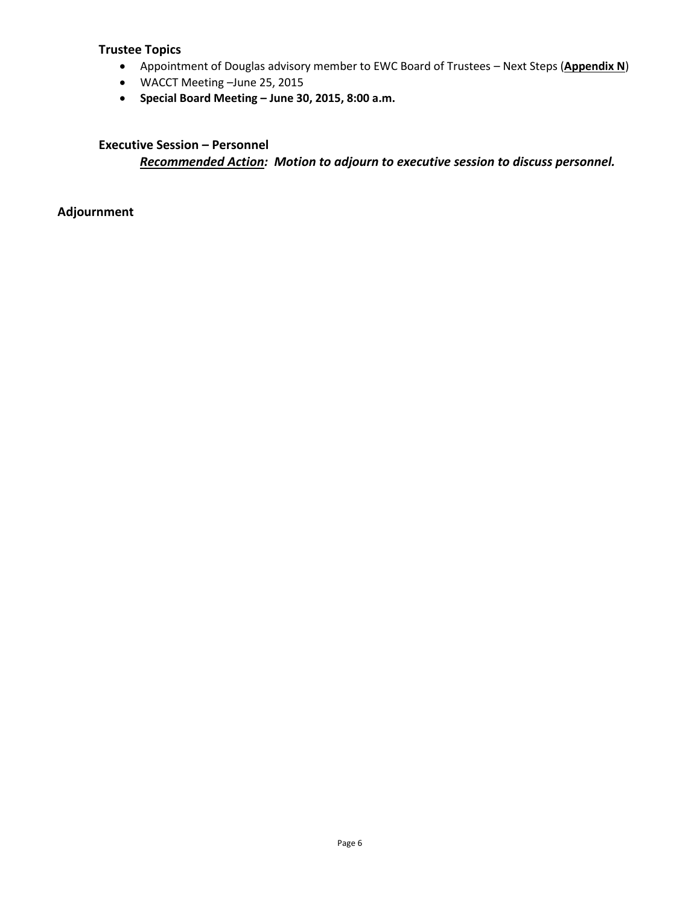### **Trustee Topics**

- Appointment of Douglas advisory member to EWC Board of Trustees Next Steps (**Appendix N**)
- WACCT Meeting –June 25, 2015
- **Special Board Meeting – June 30, 2015, 8:00 a.m.**

# **Executive Session – Personnel**

*Recommended Action: Motion to adjourn to executive session to discuss personnel.*

**Adjournment**